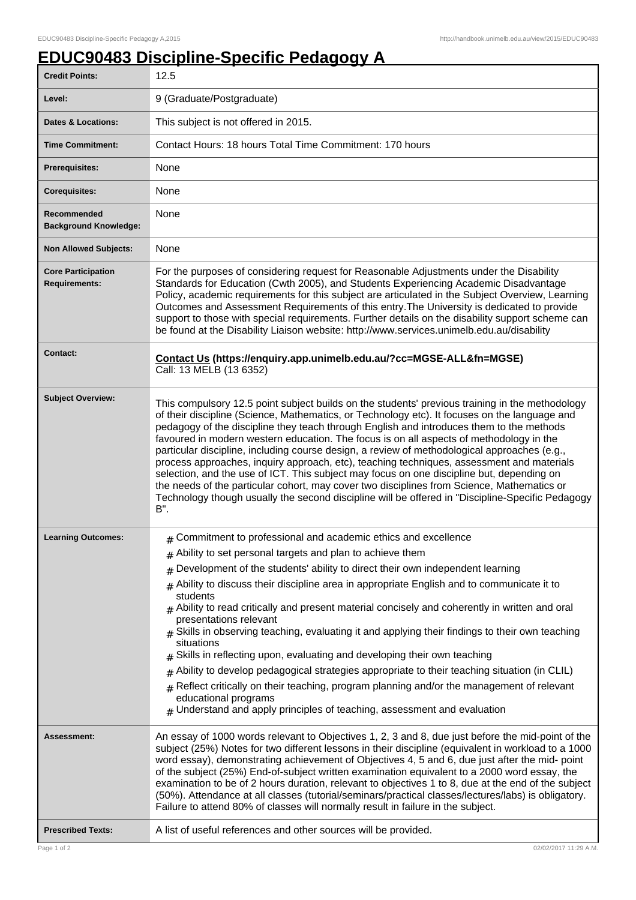## **EDUC90483 Discipline-Specific Pedagogy A**

| <b>Credit Points:</b>                             | 12.5                                                                                                                                                                                                                                                                                                                                                                                                                                                                                                                                                                                                                                                                                                                                                                                                                                                                                                                                                                         |
|---------------------------------------------------|------------------------------------------------------------------------------------------------------------------------------------------------------------------------------------------------------------------------------------------------------------------------------------------------------------------------------------------------------------------------------------------------------------------------------------------------------------------------------------------------------------------------------------------------------------------------------------------------------------------------------------------------------------------------------------------------------------------------------------------------------------------------------------------------------------------------------------------------------------------------------------------------------------------------------------------------------------------------------|
| Level:                                            | 9 (Graduate/Postgraduate)                                                                                                                                                                                                                                                                                                                                                                                                                                                                                                                                                                                                                                                                                                                                                                                                                                                                                                                                                    |
| <b>Dates &amp; Locations:</b>                     | This subject is not offered in 2015.                                                                                                                                                                                                                                                                                                                                                                                                                                                                                                                                                                                                                                                                                                                                                                                                                                                                                                                                         |
| <b>Time Commitment:</b>                           | Contact Hours: 18 hours Total Time Commitment: 170 hours                                                                                                                                                                                                                                                                                                                                                                                                                                                                                                                                                                                                                                                                                                                                                                                                                                                                                                                     |
| <b>Prerequisites:</b>                             | None                                                                                                                                                                                                                                                                                                                                                                                                                                                                                                                                                                                                                                                                                                                                                                                                                                                                                                                                                                         |
| <b>Corequisites:</b>                              | None                                                                                                                                                                                                                                                                                                                                                                                                                                                                                                                                                                                                                                                                                                                                                                                                                                                                                                                                                                         |
| Recommended<br><b>Background Knowledge:</b>       | None                                                                                                                                                                                                                                                                                                                                                                                                                                                                                                                                                                                                                                                                                                                                                                                                                                                                                                                                                                         |
| <b>Non Allowed Subjects:</b>                      | None                                                                                                                                                                                                                                                                                                                                                                                                                                                                                                                                                                                                                                                                                                                                                                                                                                                                                                                                                                         |
| <b>Core Participation</b><br><b>Requirements:</b> | For the purposes of considering request for Reasonable Adjustments under the Disability<br>Standards for Education (Cwth 2005), and Students Experiencing Academic Disadvantage<br>Policy, academic requirements for this subject are articulated in the Subject Overview, Learning<br>Outcomes and Assessment Requirements of this entry. The University is dedicated to provide<br>support to those with special requirements. Further details on the disability support scheme can<br>be found at the Disability Liaison website: http://www.services.unimelb.edu.au/disability                                                                                                                                                                                                                                                                                                                                                                                           |
| <b>Contact:</b>                                   | Contact Us (https://enquiry.app.unimelb.edu.au/?cc=MGSE-ALL&fn=MGSE)<br>Call: 13 MELB (13 6352)                                                                                                                                                                                                                                                                                                                                                                                                                                                                                                                                                                                                                                                                                                                                                                                                                                                                              |
| <b>Subject Overview:</b>                          | This compulsory 12.5 point subject builds on the students' previous training in the methodology<br>of their discipline (Science, Mathematics, or Technology etc). It focuses on the language and<br>pedagogy of the discipline they teach through English and introduces them to the methods<br>favoured in modern western education. The focus is on all aspects of methodology in the<br>particular discipline, including course design, a review of methodological approaches (e.g.,<br>process approaches, inquiry approach, etc), teaching techniques, assessment and materials<br>selection, and the use of ICT. This subject may focus on one discipline but, depending on<br>the needs of the particular cohort, may cover two disciplines from Science, Mathematics or<br>Technology though usually the second discipline will be offered in "Discipline-Specific Pedagogy<br>B".                                                                                   |
| <b>Learning Outcomes:</b>                         | $#$ Commitment to professional and academic ethics and excellence<br>$#$ Ability to set personal targets and plan to achieve them<br>Development of the students' ability to direct their own independent learning<br>#<br>Ability to discuss their discipline area in appropriate English and to communicate it to<br>#<br>students<br>$#$ Ability to read critically and present material concisely and coherently in written and oral<br>presentations relevant<br>Skills in observing teaching, evaluating it and applying their findings to their own teaching<br>#<br>situations<br>Skills in reflecting upon, evaluating and developing their own teaching<br>Ability to develop pedagogical strategies appropriate to their teaching situation (in CLIL)<br>#<br>Reflect critically on their teaching, program planning and/or the management of relevant<br>#<br>educational programs<br>$#$ Understand and apply principles of teaching, assessment and evaluation |
| Assessment:                                       | An essay of 1000 words relevant to Objectives 1, 2, 3 and 8, due just before the mid-point of the<br>subject (25%) Notes for two different lessons in their discipline (equivalent in workload to a 1000<br>word essay), demonstrating achievement of Objectives 4, 5 and 6, due just after the mid- point<br>of the subject (25%) End-of-subject written examination equivalent to a 2000 word essay, the<br>examination to be of 2 hours duration, relevant to objectives 1 to 8, due at the end of the subject<br>(50%). Attendance at all classes (tutorial/seminars/practical classes/lectures/labs) is obligatory.<br>Failure to attend 80% of classes will normally result in failure in the subject.                                                                                                                                                                                                                                                                 |
| <b>Prescribed Texts:</b>                          | A list of useful references and other sources will be provided.                                                                                                                                                                                                                                                                                                                                                                                                                                                                                                                                                                                                                                                                                                                                                                                                                                                                                                              |
| Page 1 of 2                                       | 02/02/2017 11:29 A.M                                                                                                                                                                                                                                                                                                                                                                                                                                                                                                                                                                                                                                                                                                                                                                                                                                                                                                                                                         |